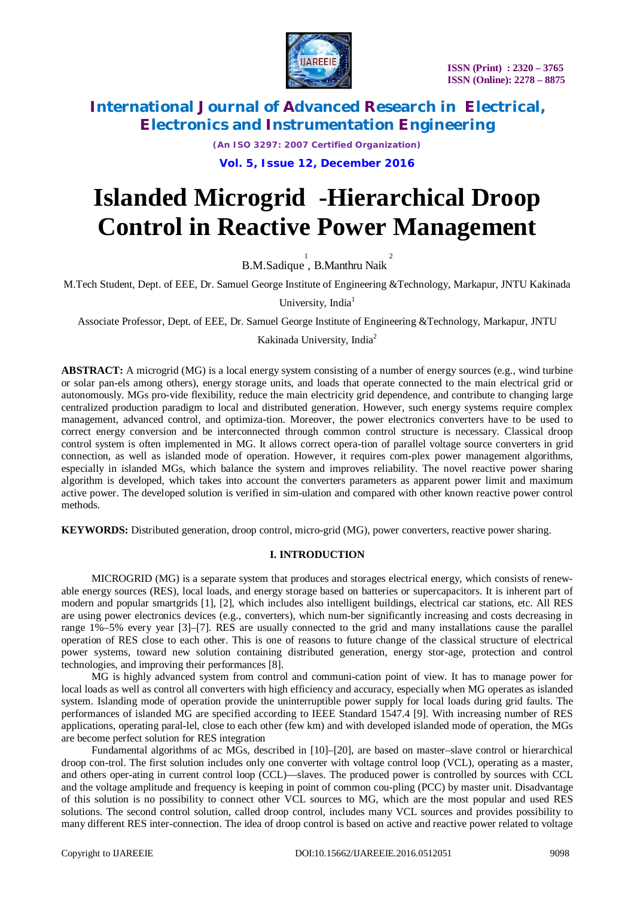

*(An ISO 3297: 2007 Certified Organization)*

**Vol. 5, Issue 12, December 2016**

# **Islanded Microgrid -Hierarchical Droop Control in Reactive Power Management**

B.M.Sadique<sup>1</sup>, B.Manthru Naik<sup>2</sup>

M.Tech Student, Dept. of EEE, Dr. Samuel George Institute of Engineering &Technology, Markapur, JNTU Kakinada

University, India $<sup>1</sup>$ </sup>

Associate Professor, Dept. of EEE, Dr. Samuel George Institute of Engineering &Technology, Markapur, JNTU

Kakinada University, India<sup>2</sup>

**ABSTRACT:** A microgrid (MG) is a local energy system consisting of a number of energy sources (e.g., wind turbine or solar pan-els among others), energy storage units, and loads that operate connected to the main electrical grid or autonomously. MGs pro-vide flexibility, reduce the main electricity grid dependence, and contribute to changing large centralized production paradigm to local and distributed generation. However, such energy systems require complex management, advanced control, and optimiza-tion. Moreover, the power electronics converters have to be used to correct energy conversion and be interconnected through common control structure is necessary. Classical droop control system is often implemented in MG. It allows correct opera-tion of parallel voltage source converters in grid connection, as well as islanded mode of operation. However, it requires com-plex power management algorithms, especially in islanded MGs, which balance the system and improves reliability. The novel reactive power sharing algorithm is developed, which takes into account the converters parameters as apparent power limit and maximum active power. The developed solution is verified in sim-ulation and compared with other known reactive power control methods.

**KEYWORDS:** Distributed generation, droop control, micro-grid (MG), power converters, reactive power sharing.

#### **I. INTRODUCTION**

MICROGRID (MG) is a separate system that produces and storages electrical energy, which consists of renewable energy sources (RES), local loads, and energy storage based on batteries or supercapacitors. It is inherent part of modern and popular smartgrids [1], [2], which includes also intelligent buildings, electrical car stations, etc. All RES are using power electronics devices (e.g., converters), which num-ber significantly increasing and costs decreasing in range 1%–5% every year [3]–[7]. RES are usually connected to the grid and many installations cause the parallel operation of RES close to each other. This is one of reasons to future change of the classical structure of electrical power systems, toward new solution containing distributed generation, energy stor-age, protection and control technologies, and improving their performances [8].

MG is highly advanced system from control and communi-cation point of view. It has to manage power for local loads as well as control all converters with high efficiency and accuracy, especially when MG operates as islanded system. Islanding mode of operation provide the uninterruptible power supply for local loads during grid faults. The performances of islanded MG are specified according to IEEE Standard 1547.4 [9]. With increasing number of RES applications, operating paral-lel, close to each other (few km) and with developed islanded mode of operation, the MGs are become perfect solution for RES integration

Fundamental algorithms of ac MGs, described in [10]–[20], are based on master–slave control or hierarchical droop con-trol. The first solution includes only one converter with voltage control loop (VCL), operating as a master, and others oper-ating in current control loop (CCL)—slaves. The produced power is controlled by sources with CCL and the voltage amplitude and frequency is keeping in point of common cou-pling (PCC) by master unit. Disadvantage of this solution is no possibility to connect other VCL sources to MG, which are the most popular and used RES solutions. The second control solution, called droop control, includes many VCL sources and provides possibility to many different RES inter-connection. The idea of droop control is based on active and reactive power related to voltage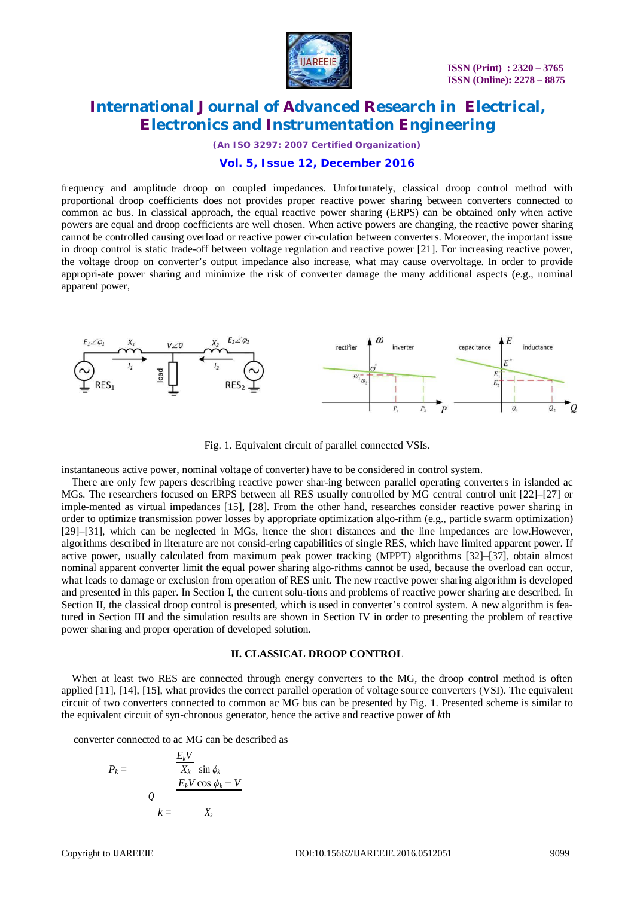

*(An ISO 3297: 2007 Certified Organization)*

### **Vol. 5, Issue 12, December 2016**

frequency and amplitude droop on coupled impedances. Unfortunately, classical droop control method with proportional droop coefficients does not provides proper reactive power sharing between converters connected to common ac bus. In classical approach, the equal reactive power sharing (ERPS) can be obtained only when active powers are equal and droop coefficients are well chosen. When active powers are changing, the reactive power sharing cannot be controlled causing overload or reactive power cir-culation between converters. Moreover, the important issue in droop control is static trade-off between voltage regulation and reactive power [21]. For increasing reactive power, the voltage droop on converter's output impedance also increase, what may cause overvoltage. In order to provide appropri-ate power sharing and minimize the risk of converter damage the many additional aspects (e.g., nominal apparent power,



Fig. 1. Equivalent circuit of parallel connected VSIs.

instantaneous active power, nominal voltage of converter) have to be considered in control system.

There are only few papers describing reactive power shar-ing between parallel operating converters in islanded ac MGs. The researchers focused on ERPS between all RES usually controlled by MG central control unit [22]–[27] or imple-mented as virtual impedances [15], [28]. From the other hand, researches consider reactive power sharing in order to optimize transmission power losses by appropriate optimization algo-rithm (e.g., particle swarm optimization) [29]–[31], which can be neglected in MGs, hence the short distances and the line impedances are low.However, algorithms described in literature are not consid-ering capabilities of single RES, which have limited apparent power. If active power, usually calculated from maximum peak power tracking (MPPT) algorithms [32]–[37], obtain almost nominal apparent converter limit the equal power sharing algo-rithms cannot be used, because the overload can occur, what leads to damage or exclusion from operation of RES unit. The new reactive power sharing algorithm is developed and presented in this paper. In Section I, the current solu-tions and problems of reactive power sharing are described. In Section II, the classical droop control is presented, which is used in converter's control system. A new algorithm is featured in Section III and the simulation results are shown in Section IV in order to presenting the problem of reactive power sharing and proper operation of developed solution.

#### **II. CLASSICAL DROOP CONTROL**

When at least two RES are connected through energy converters to the MG, the droop control method is often applied [11], [14], [15], what provides the correct parallel operation of voltage source converters (VSI). The equivalent circuit of two converters connected to common ac MG bus can be presented by Fig. 1. Presented scheme is similar to the equivalent circuit of syn-chronous generator, hence the active and reactive power of *k*th

converter connected to ac MG can be described as

$$
P_k = \frac{\frac{E_k V}{X_k} \sin \phi_k}{Q}
$$
  

$$
Q = \frac{E_k V \cos \phi_k - V}{X_k}
$$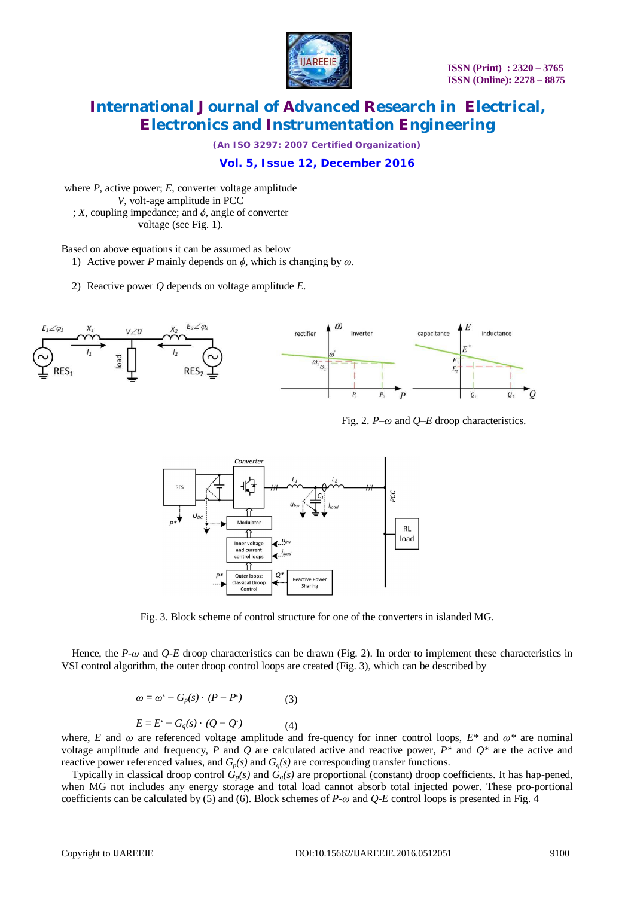

*(An ISO 3297: 2007 Certified Organization)*

### **Vol. 5, Issue 12, December 2016**

where *P*, active power; *E*, converter voltage amplitude *V*, volt-age amplitude in PCC ; *X*, coupling impedance; and *ϕ*, angle of converter voltage (see Fig. 1).

Based on above equations it can be assumed as below

- 1) Active power *P* mainly depends on *ϕ*, which is changing by *ω*.
- 2) Reactive power *Q* depends on voltage amplitude *E*.



Fig. 2. *P–ω* and *Q–E* droop characteristics.



Fig. 3. Block scheme of control structure for one of the converters in islanded MG.

Hence, the *P*-*ω* and *Q*-*E* droop characteristics can be drawn (Fig. 2). In order to implement these characteristics in VSI control algorithm, the outer droop control loops are created (Fig. 3), which can be described by

$$
\omega = \omega^* - G_p(s) \cdot (P - P^*) \tag{3}
$$

$$
E = E^* - G_q(s) \cdot (Q - Q^*) \tag{4}
$$

where, *E* and  $\omega$  are referenced voltage amplitude and fre-quency for inner control loops,  $E^*$  and  $\omega^*$  are nominal voltage amplitude and frequency, *P* and *Q* are calculated active and reactive power,  $P^*$  and  $Q^*$  are the active and reactive power referenced values, and  $G_p(s)$  and  $G_q(s)$  are corresponding transfer functions.

Typically in classical droop control  $G_p(s)$  and  $G_q(s)$  are proportional (constant) droop coefficients. It has hap-pened, when MG not includes any energy storage and total load cannot absorb total injected power. These pro-portional coefficients can be calculated by (5) and (6). Block schemes of *P-ω* and *Q-E* control loops is presented in Fig. 4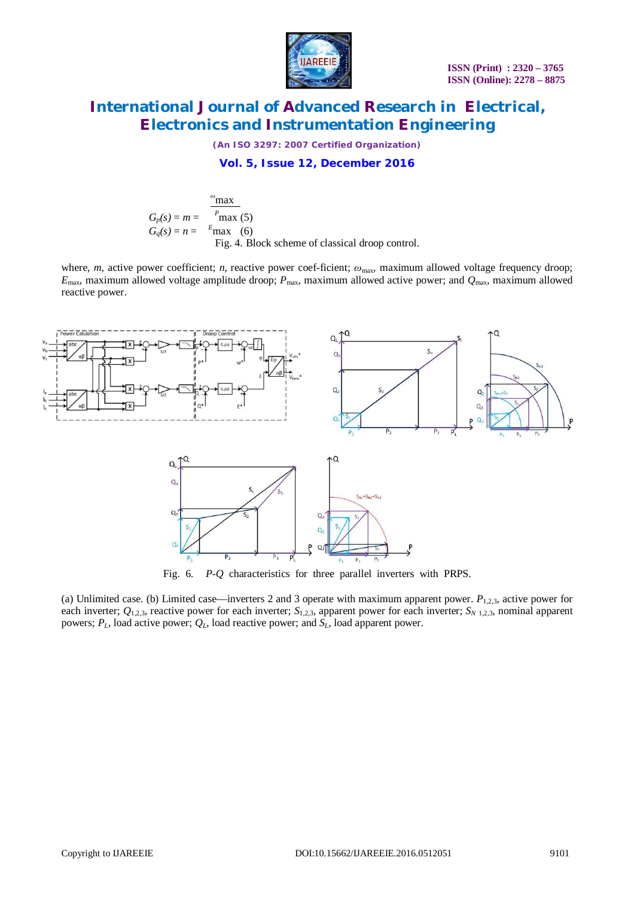

*(An ISO 3297: 2007 Certified Organization)*

### **Vol. 5, Issue 12, December 2016**

$$
G_p(s) = m = \frac{P_{\text{max}}}{P_{\text{max}}(5)}
$$
  
\n
$$
G_q(s) = n = \frac{F_{\text{max}}}{P_{\text{max}}(6)}
$$
  
\nFig. 4. Block scheme of classical drop control.

where, *m*, active power coefficient; *n*, reactive power coef-ficient;  $ω_{\text{max}}$  maximum allowed voltage frequency droop;  $E_{\text{max}}$ , maximum allowed voltage amplitude droop;  $P_{\text{max}}$ , maximum allowed active power; and  $Q_{\text{max}}$ , maximum allowed reactive power.



Fig. 6. *P-Q* characteristics for three parallel inverters with PRPS.

(a) Unlimited case. (b) Limited case—inverters 2 and 3 operate with maximum apparent power.  $P_{1,2,3}$ , active power for each inverter;  $Q_{1,2,3}$ , reactive power for each inverter;  $S_{1,2,3}$ , apparent power for each inverter;  $S_{N,1,2,3}$ , nominal apparent powers;  $P_L$ , load active power;  $Q_L$ , load reactive power; and  $S_L$ , load apparent power.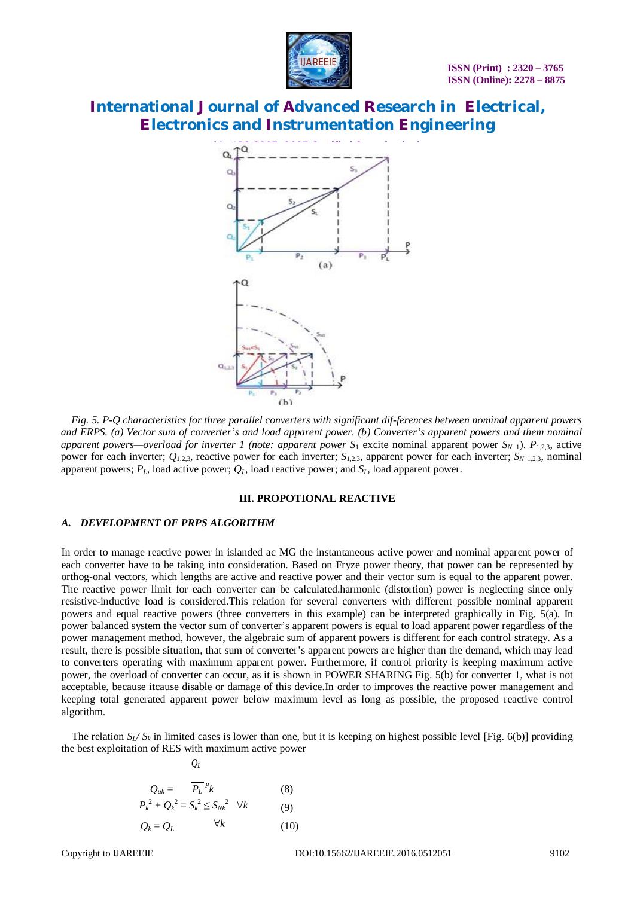



*Fig. 5. P-Q characteristics for three parallel converters with significant dif-ferences between nominal apparent powers and ERPS. (a) Vector sum of converter's and load apparent power. (b) Converter's apparent powers and them nominal apparent powers—overload for inverter 1 (note: apparent power*  $S_1$  *excite nominal apparent power*  $S_{N,1}$ *).*  $P_{1,2,3}$ *, active* power for each inverter;  $Q_{1,2,3}$ , reactive power for each inverter;  $S_{1,2,3}$ , apparent power for each inverter;  $S_{N,1,2,3}$ , nominal apparent powers;  $P_L$ , load active power;  $Q_L$ , load reactive power; and  $S_L$ , load apparent power.

#### **III. PROPOTIONAL REACTIVE**

#### *A. DEVELOPMENT OF PRPS ALGORITHM*

In order to manage reactive power in islanded ac MG the instantaneous active power and nominal apparent power of each converter have to be taking into consideration. Based on Fryze power theory, that power can be represented by orthog-onal vectors, which lengths are active and reactive power and their vector sum is equal to the apparent power. The reactive power limit for each converter can be calculated.harmonic (distortion) power is neglecting since only resistive-inductive load is considered.This relation for several converters with different possible nominal apparent powers and equal reactive powers (three converters in this example) can be interpreted graphically in Fig. 5(a). In power balanced system the vector sum of converter's apparent powers is equal to load apparent power regardless of the power management method, however, the algebraic sum of apparent powers is different for each control strategy. As a result, there is possible situation, that sum of converter's apparent powers are higher than the demand, which may lead to converters operating with maximum apparent power. Furthermore, if control priority is keeping maximum active power, the overload of converter can occur, as it is shown in POWER SHARING Fig. 5(b) for converter 1, what is not acceptable, because itcause disable or damage of this device.In order to improves the reactive power management and keeping total generated apparent power below maximum level as long as possible, the proposed reactive control algorithm.

The relation  $S_L/S_k$  in limited cases is lower than one, but it is keeping on highest possible level [Fig. 6(b)] providing the best exploitation of RES with maximum active power

$$
Q_{uk} = \frac{\overline{P_L}^p k}{P_k^2 + Q_k^2} = S_k^2 \le S_{Nk}^2 \quad \forall k
$$
\n(8)\n
$$
Q_k = Q_L \qquad \forall k
$$
\n(10)

 $Q$ *L* 

*Pk*

DOI:10.15662/IJAREEIE.2016.0512051 9102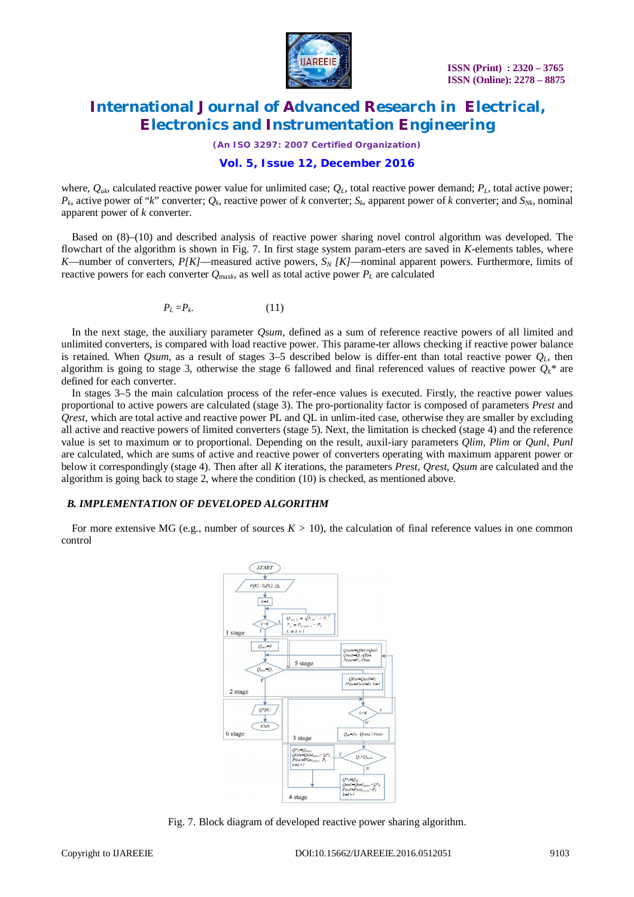

*(An ISO 3297: 2007 Certified Organization)*

### **Vol. 5, Issue 12, December 2016**

where,  $Q_{uk}$ , calculated reactive power value for unlimited case;  $Q_L$ , total reactive power demand;  $P_L$ , total active power;  $P_k$ , active power of "*k*" converter;  $Q_k$ , reactive power of *k* converter;  $S_k$ , apparent power of *k* converter; and  $S_{Nk}$ , nominal apparent power of *k* converter.

Based on (8)–(10) and described analysis of reactive power sharing novel control algorithm was developed. The flowchart of the algorithm is shown in Fig. 7. In first stage system param-eters are saved in *K*-elements tables, where *K*—number of converters, *P[K]*—measured active powers, *S<sup>N</sup> [K]*—nominal apparent powers. Furthermore, limits of reactive powers for each converter *Q*max*<sup>k</sup>* , as well as total active power *P<sup>L</sup>* are calculated

$$
P_L = P_k. \tag{11}
$$

In the next stage, the auxiliary parameter *Qsum*, defined as a sum of reference reactive powers of all limited and unlimited converters, is compared with load reactive power. This parame-ter allows checking if reactive power balance is retained. When *Qsum*, as a result of stages 3–5 described below is differ-ent than total reactive power  $Q_L$ , then algorithm is going to stage 3, otherwise the stage 6 fallowed and final referenced values of reactive power  $Q_k^*$  are defined for each converter.

In stages 3–5 the main calculation process of the refer-ence values is executed. Firstly, the reactive power values proportional to active powers are calculated (stage 3). The pro-portionality factor is composed of parameters *Prest* and *Qrest,* which are total active and reactive power PL and QL in unlim-ited case, otherwise they are smaller by excluding all active and reactive powers of limited converters (stage 5). Next, the limitation is checked (stage 4) and the reference value is set to maximum or to proportional. Depending on the result, auxil-iary parameters *Qlim, Plim* or *Qunl, Punl* are calculated, which are sums of active and reactive power of converters operating with maximum apparent power or below it correspondingly (stage 4). Then after all *K* iterations, the parameters *Prest, Qrest, Qsum* are calculated and the algorithm is going back to stage 2, where the condition (10) is checked, as mentioned above.

#### *B. IMPLEMENTATION OF DEVELOPED ALGORITHM*

For more extensive MG (e.g., number of sources  $K > 10$ ), the calculation of final reference values in one common control



Fig. 7. Block diagram of developed reactive power sharing algorithm.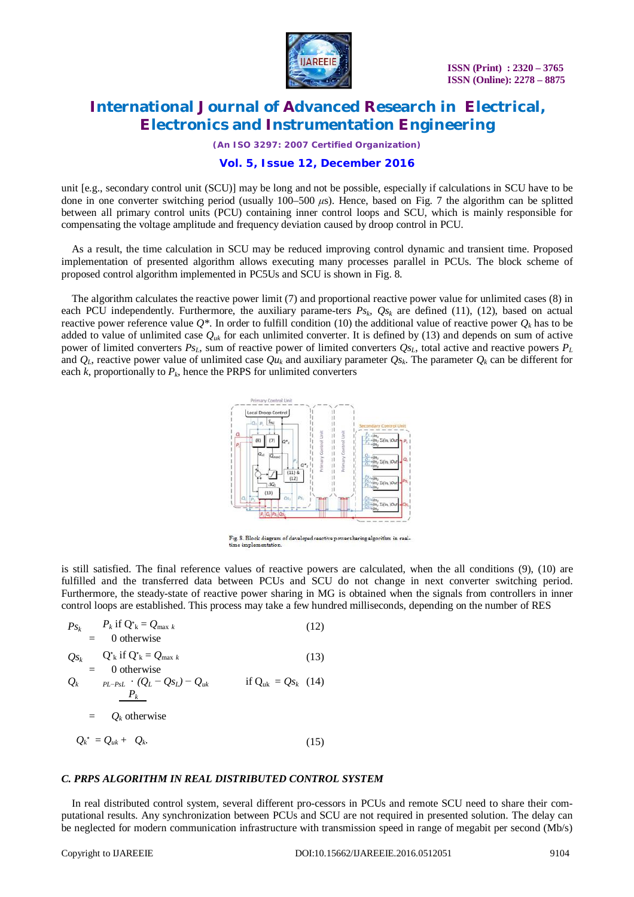

*(An ISO 3297: 2007 Certified Organization)*

### **Vol. 5, Issue 12, December 2016**

unit [e.g., secondary control unit (SCU)] may be long and not be possible, especially if calculations in SCU have to be done in one converter switching period (usually 100–500 *μ*s). Hence, based on Fig. 7 the algorithm can be splitted between all primary control units (PCU) containing inner control loops and SCU, which is mainly responsible for compensating the voltage amplitude and frequency deviation caused by droop control in PCU.

As a result, the time calculation in SCU may be reduced improving control dynamic and transient time. Proposed implementation of presented algorithm allows executing many processes parallel in PCUs. The block scheme of proposed control algorithm implemented in PC5Us and SCU is shown in Fig. 8.

The algorithm calculates the reactive power limit (7) and proportional reactive power value for unlimited cases (8) in each PCU independently. Furthermore, the auxiliary parame-ters  $P_{s_k}$ ,  $Q_{s_k}$  are defined (11), (12), based on actual reactive power reference value  $Q^*$ . In order to fulfill condition (10) the additional value of reactive power  $Q_k$  has to be added to value of unlimited case  $Q_{uk}$  for each unlimited converter. It is defined by (13) and depends on sum of active power of limited converters *PsL*, sum of reactive power of limited converters *QsL*, total active and reactive powers *P<sup>L</sup>* and *QL*, reactive power value of unlimited case *Qu<sup>k</sup>* and auxiliary parameter *Qs<sup>k</sup>* . The parameter *Q<sup>k</sup>* can be different for each  $k$ , proportionally to  $P_k$ , hence the PRPS for unlimited converters



 $\overline{\mathrm{Fig}}.$  8. Block diagram of developed reactive power sharing algorithm in real-time implementation.

is still satisfied. The final reference values of reactive powers are calculated, when the all conditions (9), (10) are fulfilled and the transferred data between PCUs and SCU do not change in next converter switching period. Furthermore, the steady-state of reactive power sharing in MG is obtained when the signals from controllers in inner control loops are established. This process may take a few hundred milliseconds, depending on the number of RES

$$
P_{S_k} = P_k \text{ if } Q^*_{k} = Q_{\text{max } k} \qquad (12)
$$
  
\n
$$
= Q_{S_k} = Q^*_{k} \text{ if } Q^*_{k} = Q_{\text{max } k} \qquad (13)
$$
  
\n
$$
= Q_k \qquad \text{otherwise}
$$
  
\n
$$
Q_k = p_{L-PsL} \cdot (Q_L - Q_{S_L}) - Q_{uk} \qquad \text{if } Q_{uk} = Q_{S_k} \quad (14)
$$
  
\n
$$
= Q_k \text{ otherwise}
$$
  
\n
$$
Q_k^* = Q_{uk} + Q_k. \qquad (15)
$$

#### *C. PRPS ALGORITHM IN REAL DISTRIBUTED CONTROL SYSTEM*

In real distributed control system, several different pro-cessors in PCUs and remote SCU need to share their computational results. Any synchronization between PCUs and SCU are not required in presented solution. The delay can be neglected for modern communication infrastructure with transmission speed in range of megabit per second (Mb/s)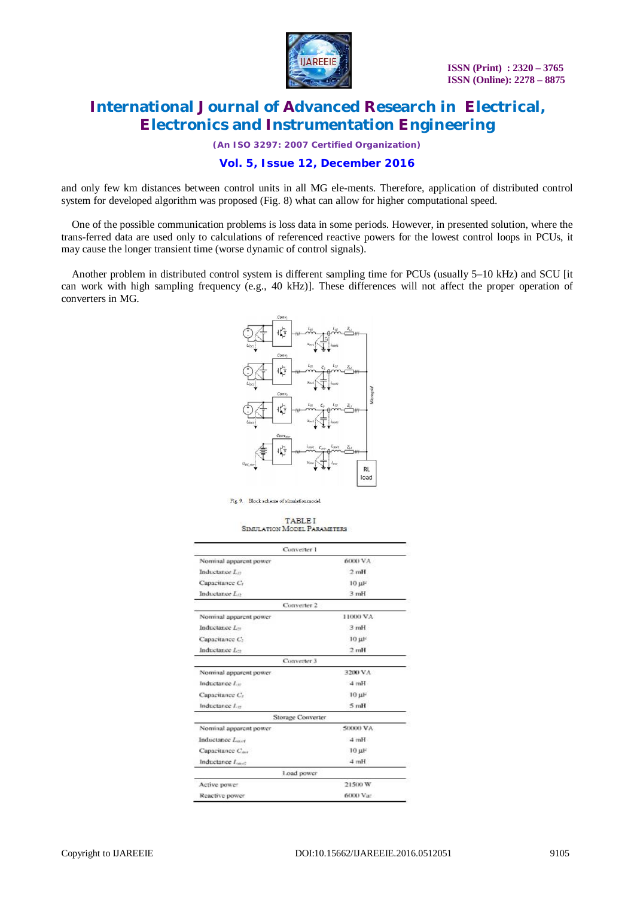

*(An ISO 3297: 2007 Certified Organization)*

### **Vol. 5, Issue 12, December 2016**

and only few km distances between control units in all MG ele-ments. Therefore, application of distributed control system for developed algorithm was proposed (Fig. 8) what can allow for higher computational speed.

One of the possible communication problems is loss data in some periods. However, in presented solution, where the trans-ferred data are used only to calculations of referenced reactive powers for the lowest control loops in PCUs, it may cause the longer transient time (worse dynamic of control signals).

Another problem in distributed control system is different sampling time for PCUs (usually 5–10 kHz) and SCU [it can work with high sampling frequency (e.g., 40 kHz)]. These differences will not affect the proper operation of converters in MG.



Fig. 9 Block schame of simulation model

**TABLEI** SIMULATION MODEL PARAMETERS

| Converter 1                  |                |
|------------------------------|----------------|
| Nominal apparent power       | <b>6000 VA</b> |
| Inductance L <sub>12</sub>   | 2mH            |
| Capacitance C                | 10 µF          |
| Inductance Lo                | 3 mH           |
| Converter 2                  |                |
| Nominal apparent power       | 11000 VA       |
| Inductance L-                | 3mH            |
| Capacitance C:               | $10$ uF        |
| Inductance L-                | 2mH            |
| Converter 3                  |                |
| Nominal apparent power       | 3200 VA        |
| Inductance L <sub>iv</sub>   | 4mH            |
| Capacitance C <sub>r</sub>   | $10 \mu F$     |
| Inductance L <sub>in</sub>   | 5mH            |
| Storage Converter            |                |
| Nominal apparent power       | SOOO VA        |
| Inductance Law               | 4mH            |
| Capacitance C <sub>ove</sub> | 10 µF          |
| Inductance Law               | 4mH            |
| Load power                   |                |
| Active power                 | 21500 W        |
| Reactive power               | 6000 Vac       |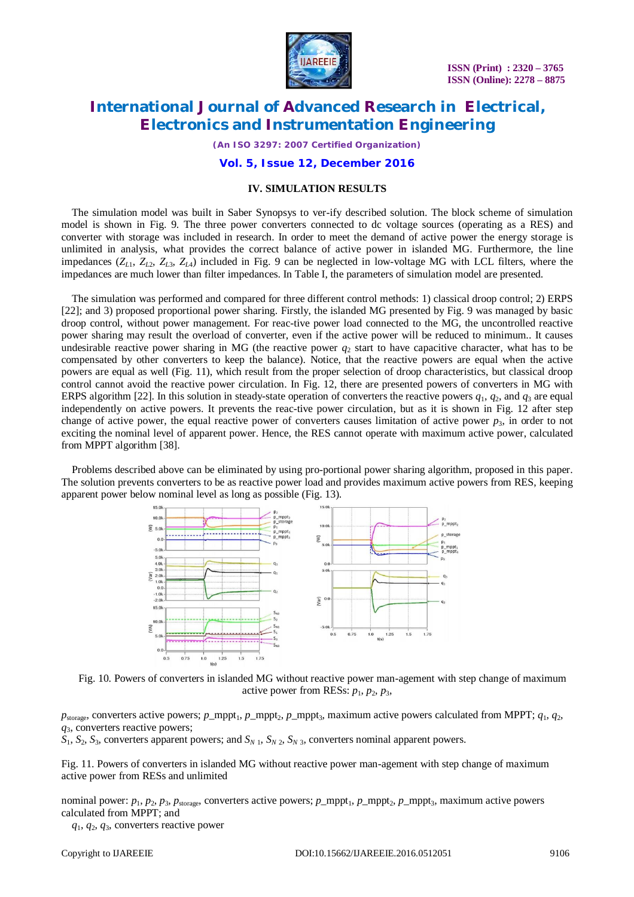

*(An ISO 3297: 2007 Certified Organization)*

#### **Vol. 5, Issue 12, December 2016**

#### **IV. SIMULATION RESULTS**

The simulation model was built in Saber Synopsys to ver-ify described solution. The block scheme of simulation model is shown in Fig. 9. The three power converters connected to dc voltage sources (operating as a RES) and converter with storage was included in research. In order to meet the demand of active power the energy storage is unlimited in analysis, what provides the correct balance of active power in islanded MG. Furthermore, the line impedances (*Z<sup>L</sup>*1, *Z<sup>L</sup>*2, *Z<sup>L</sup>*3, *Z<sup>L</sup>*4) included in Fig. 9 can be neglected in low-voltage MG with LCL filters, where the impedances are much lower than filter impedances. In Table I, the parameters of simulation model are presented.

The simulation was performed and compared for three different control methods: 1) classical droop control; 2) ERPS [22]; and 3) proposed proportional power sharing. Firstly, the islanded MG presented by Fig. 9 was managed by basic droop control, without power management. For reac-tive power load connected to the MG, the uncontrolled reactive power sharing may result the overload of converter, even if the active power will be reduced to minimum.. It causes undesirable reactive power sharing in MG (the reactive power  $q_2$  start to have capacitive character, what has to be compensated by other converters to keep the balance). Notice, that the reactive powers are equal when the active powers are equal as well (Fig. 11), which result from the proper selection of droop characteristics, but classical droop control cannot avoid the reactive power circulation. In Fig. 12, there are presented powers of converters in MG with ERPS algorithm [22]. In this solution in steady-state operation of converters the reactive powers  $q_1$ ,  $q_2$ , and  $q_3$  are equal independently on active powers. It prevents the reac-tive power circulation, but as it is shown in Fig. 12 after step change of active power, the equal reactive power of converters causes limitation of active power  $p_3$ , in order to not exciting the nominal level of apparent power. Hence, the RES cannot operate with maximum active power, calculated from MPPT algorithm [38].

Problems described above can be eliminated by using pro-portional power sharing algorithm, proposed in this paper. The solution prevents converters to be as reactive power load and provides maximum active powers from RES, keeping apparent power below nominal level as long as possible (Fig. 13).



Fig. 10. Powers of converters in islanded MG without reactive power man-agement with step change of maximum active power from RESs:  $p_1$ ,  $p_2$ ,  $p_3$ ,

*p*<sub>storage</sub>, converters active powers; *p\_*mppt<sub>1</sub>, *p\_mppt*<sub>2</sub>, *p\_mppt*<sub>3</sub>, maximum active powers calculated from MPPT;  $q_1$ ,  $q_2$ , *q*3, converters reactive powers;

 $S_1$ ,  $S_2$ ,  $S_3$ , converters apparent powers; and  $S_{N,1}$ ,  $S_{N,2}$ ,  $S_{N,3}$ , converters nominal apparent powers.

Fig. 11. Powers of converters in islanded MG without reactive power man-agement with step change of maximum active power from RESs and unlimited

nominal power:  $p_1$ ,  $p_2$ ,  $p_3$ ,  $p_{\text{storage}}$ , converters active powers;  $p_{\text{unopt}_1}$ ,  $p_{\text{unopt}_2}$ ,  $p_{\text{unopt}_3}$ , maximum active powers calculated from MPPT; and

*q*1, *q*2, *q*3, converters reactive power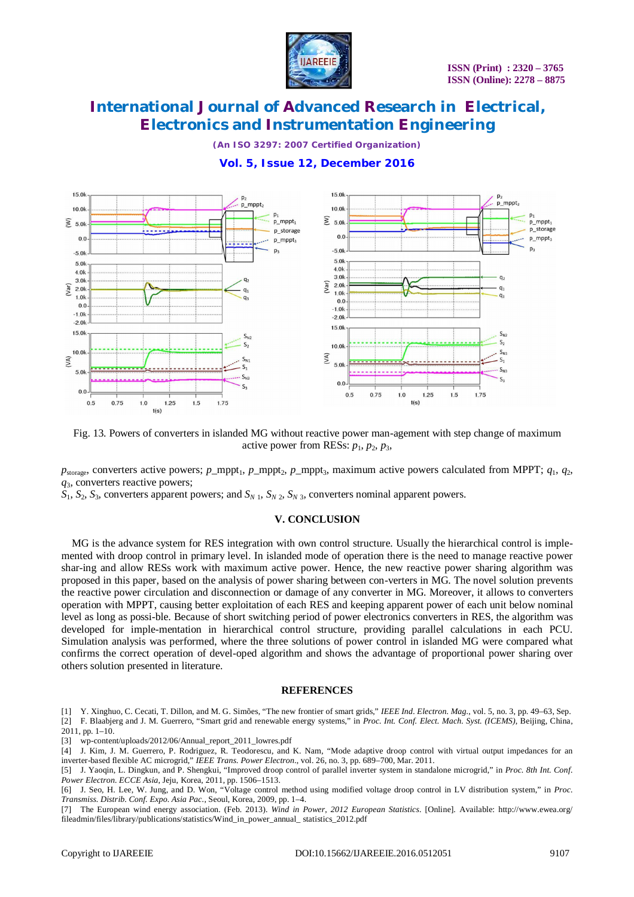

*(An ISO 3297: 2007 Certified Organization)*

### **Vol. 5, Issue 12, December 2016**



Fig. 13. Powers of converters in islanded MG without reactive power man-agement with step change of maximum active power from RESs:  $p_1$ ,  $p_2$ ,  $p_3$ ,

 $p_{\text{storage}}$ , converters active powers;  $p_{\text{_-mppt}_1}$ ,  $p_{\text{_-mppt}_2}$ ,  $p_{\text{_-mppt}_3}$ , maximum active powers calculated from MPPT;  $q_1$ ,  $q_2$ , *q*3, converters reactive powers;

 $S_1$ ,  $S_2$ ,  $S_3$ , converters apparent powers; and  $S_N$ <sub>1</sub>,  $S_N$ <sub>2</sub>,  $S_N$ <sub>3</sub>, converters nominal apparent powers.

#### **V. CONCLUSION**

MG is the advance system for RES integration with own control structure. Usually the hierarchical control is implemented with droop control in primary level. In islanded mode of operation there is the need to manage reactive power shar-ing and allow RESs work with maximum active power. Hence, the new reactive power sharing algorithm was proposed in this paper, based on the analysis of power sharing between con-verters in MG. The novel solution prevents the reactive power circulation and disconnection or damage of any converter in MG. Moreover, it allows to converters operation with MPPT, causing better exploitation of each RES and keeping apparent power of each unit below nominal level as long as possi-ble. Because of short switching period of power electronics converters in RES, the algorithm was developed for imple-mentation in hierarchical control structure, providing parallel calculations in each PCU. Simulation analysis was performed, where the three solutions of power control in islanded MG were compared what confirms the correct operation of devel-oped algorithm and shows the advantage of proportional power sharing over others solution presented in literature.

#### **REFERENCES**

[1] Y. Xinghuo, C. Cecati, T. Dillon, and M. G. Simões, "The new frontier of smart grids," *IEEE Ind. Electron. Mag.*, vol. 5, no. 3, pp. 49–63, Sep.

[2] F. Blaabjerg and J. M. Guerrero, "Smart grid and renewable energy systems," in *Proc. Int. Conf. Elect. Mach. Syst. (ICEMS)*, Beijing, China, 2011, pp. 1–10.

[3] wp-content/uploads/2012/06/Annual\_report\_2011\_lowres.pdf

[7] The European wind energy association. (Feb. 2013). *Wind in Power, 2012 European Statistics*. [Online]. Available: <http://www.ewea.org/> fileadmin/files/library/publications/statistics/Wind\_in\_power\_annual\_ statistics\_2012.pdf

 $[4]$  J. Kim, J. M. Guerrero, P. Rodriguez, R. Teodorescu, and K. Nam, "Mode adaptive droop control with virtual output impedances for an inverter-based flexible AC microgrid," *IEEE Trans. Power Electron.*, vol. 26, no. 3, pp. 689–700, Mar. 2011.

<sup>[5]</sup> J. Yaoqin, L. Dingkun, and P. Shengkui, "Improved droop control of parallel inverter system in standalone microgrid," in *Proc. 8th Int. Conf. Power Electron. ECCE Asia*, Jeju, Korea, 2011, pp. 1506–1513.

<sup>[6]</sup> J. Seo, H. Lee, W. Jung, and D. Won, "Voltage control method using modified voltage droop control in LV distribution system," in *Proc. Transmiss. Distrib. Conf. Expo. Asia Pac.*, Seoul, Korea, 2009, pp. 1–4.